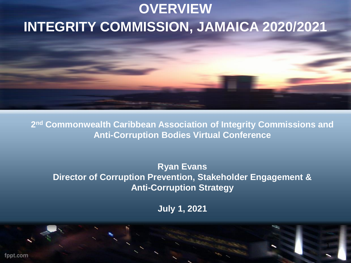## **OVERVIEW INTEGRITY COMMISSION, JAMAICA 2020/2021**

**2 nd Commonwealth Caribbean Association of Integrity Commissions and Anti-Corruption Bodies Virtual Conference**

**Ryan Evans Director of Corruption Prevention, Stakeholder Engagement & Anti-Corruption Strategy**

**July 1, 2021** 

1

fppt.com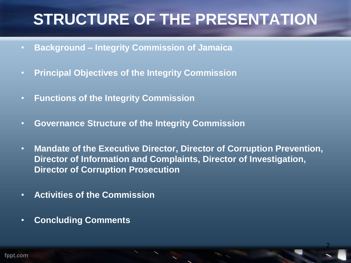# **STRUCTURE OF THE PRESENTATION**

- **Background – Integrity Commission of Jamaica**
- **Principal Objectives of the Integrity Commission**
- **Functions of the Integrity Commission**
- **Governance Structure of the Integrity Commission**
- **Mandate of the Executive Director, Director of Corruption Prevention, Director of Information and Complaints, Director of Investigation, Director of Corruption Prosecution**

- **Activities of the Commission**
- **Concluding Comments**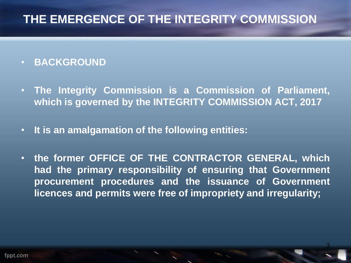### **THE EMERGENCE OF THE INTEGRITY COMMISSION**

#### • **BACKGROUND**

- **The Integrity Commission is a Commission of Parliament, which is governed by the INTEGRITY COMMISSION ACT, 2017**
- **It is an amalgamation of the following entities:**
- **the former OFFICE OF THE CONTRACTOR GENERAL, which had the primary responsibility of ensuring that Government procurement procedures and the issuance of Government licences and permits were free of impropriety and irregularity;**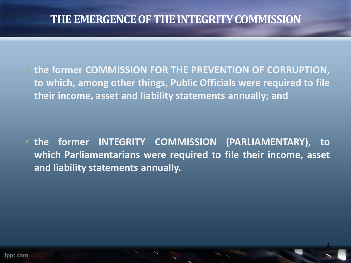#### **THE EMERGENCE OF THE INTEGRITY COMMISSION**

• **the former COMMISSION FOR THE PREVENTION OF CORRUPTION, to which, among other things, Public Officials were required to file their income, asset and liability statements annually; and**

• **the former INTEGRITY COMMISSION (PARLIAMENTARY), to which Parliamentarians were required to file their income, asset and liability statements annually.**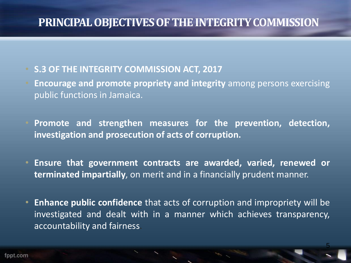#### **PRINCIPAL OBJECTIVES OF THE INTEGRITY COMMISSION**

#### • **S.3 OF THE INTEGRITY COMMISSION ACT, 2017**

- **Encourage and promote propriety and integrity** among persons exercising public functions in Jamaica.
- **Promote and strengthen measures for the prevention, detection, investigation and prosecution of acts of corruption.**
- **Ensure that government contracts are awarded, varied, renewed or terminated impartially**, on merit and in a financially prudent manner.
- **Enhance public confidence** that acts of corruption and impropriety will be investigated and dealt with in a manner which achieves transparency, accountability and fairness.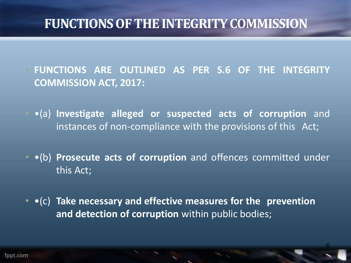• **FUNCTIONS ARE OUTLINED AS PER S.6 OF THE INTEGRITY COMMISSION ACT, 2017:**

- •(a) **Investigate alleged or suspected acts of corruption** and instances of non-compliance with the provisions of this Act;
- •(b) **Prosecute acts of corruption** and offences committed under this Act;

• •(c) **Take necessary and effective measures for the prevention and detection of corruption** within public bodies;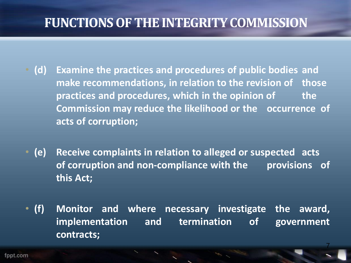- **(d) Examine the practices and procedures of public bodies and make recommendations, in relation to the revision of those practices and procedures, which in the opinion of the Commission may reduce the likelihood or the occurrence of acts of corruption;**
- **(e) Receive complaints in relation to alleged or suspected acts of corruption and non-compliance with the provisions of this Act;**
- **(f) Monitor and where necessary investigate the award, implementation and termination of government contracts;**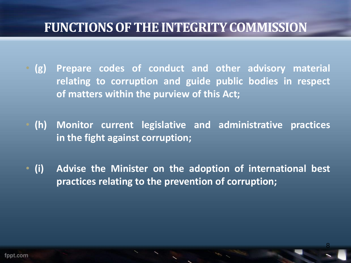- **(g) Prepare codes of conduct and other advisory material relating to corruption and guide public bodies in respect of matters within the purview of this Act;**
- **(h) Monitor current legislative and administrative practices in the fight against corruption;**
- **(i) Advise the Minister on the adoption of international best practices relating to the prevention of corruption;**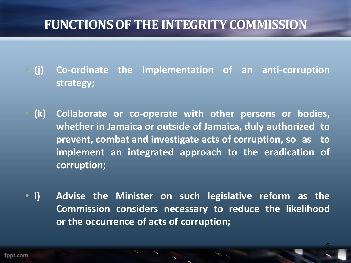- **(j) Co-ordinate the implementation of an anti-corruption strategy;**
- **(k) Collaborate or co-operate with other persons or bodies, whether in Jamaica or outside of Jamaica, duly authorized to prevent, combat and investigate acts of corruption, so as to implement an integrated approach to the eradication of corruption;**
- **l) Advise the Minister on such legislative reform as the Commission considers necessary to reduce the likelihood or the occurrence of acts of corruption;**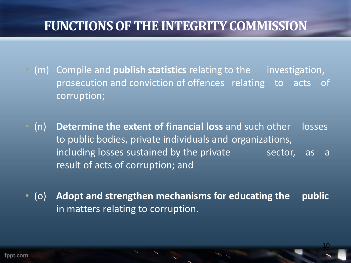- (m) Compile and **publish statistics** relating to the investigation, prosecution and conviction of offences relating to acts of corruption;
- (n) **Determine the extent of financial loss** and such other losses to public bodies, private individuals and organizations, including losses sustained by the private sector, as a result of acts of corruption; and
- (o) **Adopt and strengthen mechanisms for educating the public i**n matters relating to corruption.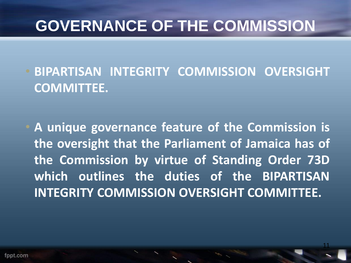# **GOVERNANCE OF THE COMMISSION**

• **BIPARTISAN INTEGRITY COMMISSION OVERSIGHT COMMITTEE.**

• **A unique governance feature of the Commission is the oversight that the Parliament of Jamaica has of the Commission by virtue of Standing Order 73D which outlines the duties of the BIPARTISAN INTEGRITY COMMISSION OVERSIGHT COMMITTEE.**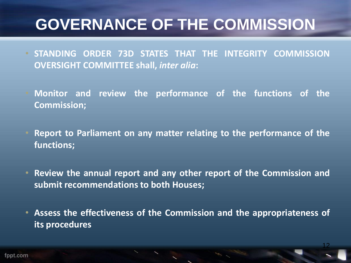# **GOVERNANCE OF THE COMMISSION**

- **STANDING ORDER 73D STATES THAT THE INTEGRITY COMMISSION OVERSIGHT COMMITTEE shall,** *inter alia***:**
- **Monitor and review the performance of the functions of the Commission;**
- **Report to Parliament on any matter relating to the performance of the functions;**
- **Review the annual report and any other report of the Commission and submit recommendations to both Houses;**
- **Assess the effectiveness of the Commission and the appropriateness of its procedures**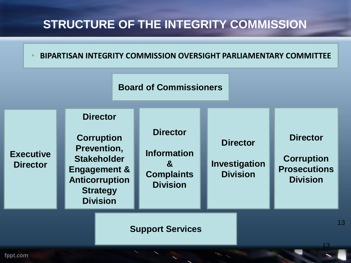### **STRUCTURE OF THE INTEGRITY COMMISSION**

#### • **BIPARTISAN INTEGRITY COMMISSION OVERSIGHT PARLIAMENTARY COMMITTEE**



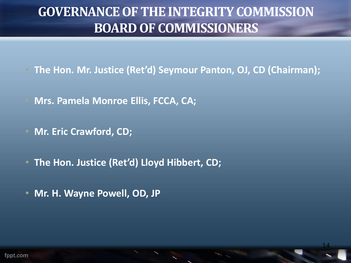### **GOVERNANCE OF THE INTEGRITY COMMISSION BOARD OF COMMISSIONERS**

• **The Hon. Mr. Justice (Ret'd) Seymour Panton, OJ, CD (Chairman);** 

- **Mrs. Pamela Monroe Ellis, FCCA, CA;**
- **Mr. Eric Crawford, CD;**
- **The Hon. Justice (Ret'd) Lloyd Hibbert, CD;**
- **Mr. H. Wayne Powell, OD, JP**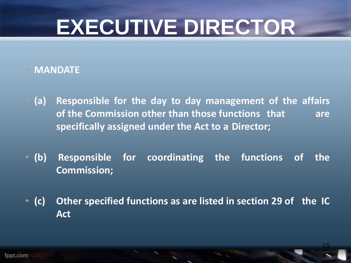# **EXECUTIVE DIRECTOR**

#### • **MANDATE**

- **(a) Responsible for the day to day management of the affairs of the Commission other than those functions that are specifically assigned under the Act to a Director;**
- **(b) Responsible for coordinating the functions of the Commission;**
- **(c) Other specified functions as are listed in section 29 of the IC Act**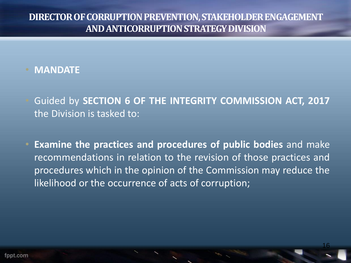• **MANDATE**

- Guided by **SECTION 6 OF THE INTEGRITY COMMISSION ACT, 2017** the Division is tasked to:
- **Examine the practices and procedures of public bodies** and make recommendations in relation to the revision of those practices and procedures which in the opinion of the Commission may reduce the likelihood or the occurrence of acts of corruption;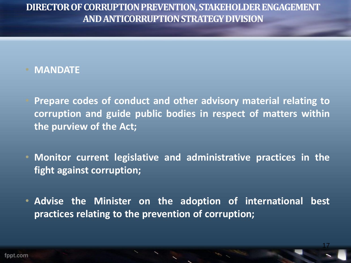• **MANDATE**

- **Prepare codes of conduct and other advisory material relating to corruption and guide public bodies in respect of matters within the purview of the Act;**
- **Monitor current legislative and administrative practices in the fight against corruption;**
- **Advise the Minister on the adoption of international best practices relating to the prevention of corruption;**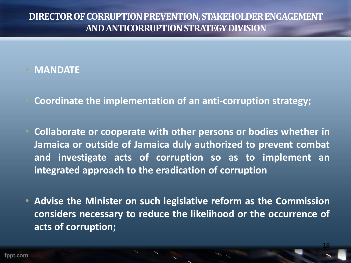#### • **MANDATE**

- **Coordinate the implementation of an anti-corruption strategy;**
- **Collaborate or cooperate with other persons or bodies whether in Jamaica or outside of Jamaica duly authorized to prevent combat and investigate acts of corruption so as to implement an integrated approach to the eradication of corruption**
- **Advise the Minister on such legislative reform as the Commission considers necessary to reduce the likelihood or the occurrence of acts of corruption;**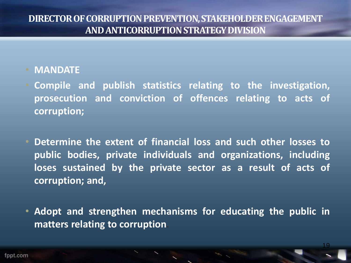#### • **MANDATE**

- **Compile and publish statistics relating to the investigation, prosecution and conviction of offences relating to acts of corruption;**
- **Determine the extent of financial loss and such other losses to public bodies, private individuals and organizations, including loses sustained by the private sector as a result of acts of corruption; and,**
- **Adopt and strengthen mechanisms for educating the public in matters relating to corruption**.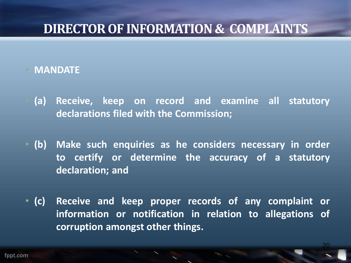### **DIRECTOR OF INFORMATION & COMPLAINTS**

- **MANDATE**
- **(a) Receive, keep on record and examine all statutory declarations filed with the Commission;**
- **(b) Make such enquiries as he considers necessary in order to certify or determine the accuracy of a statutory declaration; and**
- **(c) Receive and keep proper records of any complaint or information or notification in relation to allegations of corruption amongst other things.**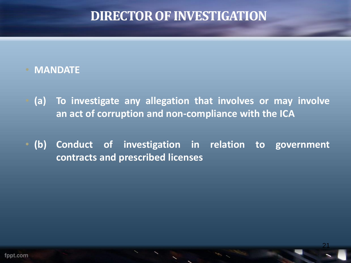### **DIRECTOR OF INVESTIGATION**

#### • **MANDATE**

- **(a) To investigate any allegation that involves or may involve an act of corruption and non-compliance with the ICA**
- **(b) Conduct of investigation in relation to government contracts and prescribed licenses**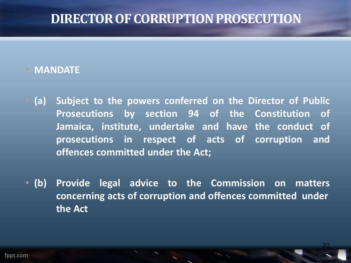### **DIRECTOR OF CORRUPTION PROSECUTION**

#### • **MANDATE**

- **(a) Subject to the powers conferred on the Director of Public Prosecutions by section 94 of the Constitution of Jamaica, institute, undertake and have the conduct of prosecutions in respect of acts of corruption and offences committed under the Act;**
- **(b) Provide legal advice to the Commission on matters concerning acts of corruption and offences committed under the Act**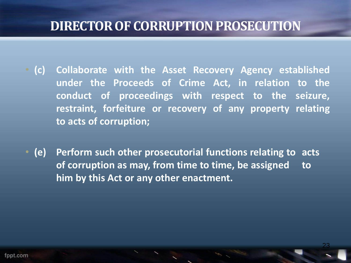### **DIRECTOR OF CORRUPTION PROSECUTION**

- **(c) Collaborate with the Asset Recovery Agency established under the Proceeds of Crime Act, in relation to the conduct of proceedings with respect to the seizure, restraint, forfeiture or recovery of any property relating to acts of corruption;**
- **(e) Perform such other prosecutorial functions relating to acts of corruption as may, from time to time, be assigned to him by this Act or any other enactment.**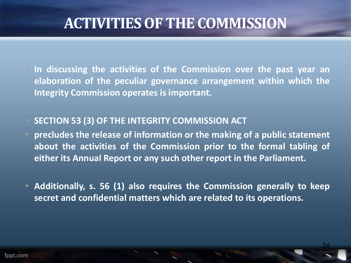- **In discussing the activities of the Commission over the past year an elaboration of the peculiar governance arrangement within which the Integrity Commission operates is important.**
- **SECTION 53 (3) OF THE INTEGRITY COMMISSION ACT**
- **precludes the release of information or the making of a public statement about the activities of the Commission prior to the formal tabling of either its Annual Report or any such other report in the Parliament.**
- **Additionally, s. 56 (1) also requires the Commission generally to keep secret and confidential matters which are related to its operations.**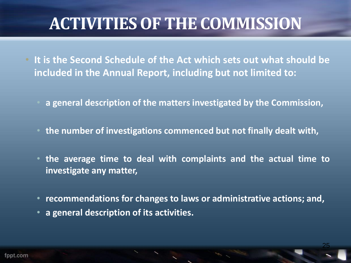- **It is the Second Schedule of the Act which sets out what should be included in the Annual Report, including but not limited to:**
	- **a general description of the matters investigated by the Commission,**
	- **the number of investigations commenced but not finally dealt with,**
	- **the average time to deal with complaints and the actual time to investigate any matter,**
	- **recommendations for changes to laws or administrative actions; and,**

25

• **a general description of its activities.**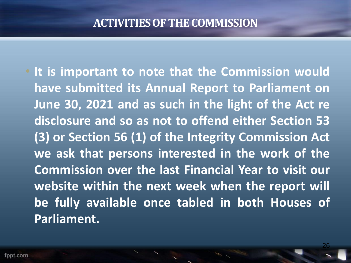• **It is important to note that the Commission would have submitted its Annual Report to Parliament on June 30, 2021 and as such in the light of the Act re disclosure and so as not to offend either Section 53 (3) or Section 56 (1) of the Integrity Commission Act we ask that persons interested in the work of the Commission over the last Financial Year to visit our website within the next week when the report will be fully available once tabled in both Houses of Parliament.**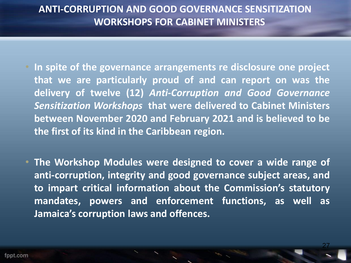#### **ANTI-CORRUPTION AND GOOD GOVERNANCE SENSITIZATION WORKSHOPS FOR CABINET MINISTERS**

- **In spite of the governance arrangements re disclosure one project that we are particularly proud of and can report on was the delivery of twelve (12)** *Anti-Corruption and Good Governance Sensitization Workshops* **that were delivered to Cabinet Ministers between November 2020 and February 2021 and is believed to be the first of its kind in the Caribbean region.**
- **The Workshop Modules were designed to cover a wide range of anti-corruption, integrity and good governance subject areas, and to impart critical information about the Commission's statutory mandates, powers and enforcement functions, as well as Jamaica's corruption laws and offences.**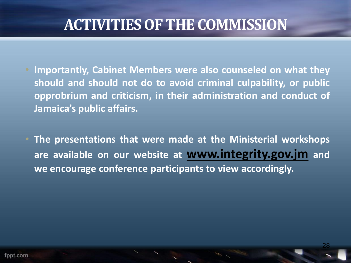- **Importantly, Cabinet Members were also counseled on what they should and should not do to avoid criminal culpability, or public opprobrium and criticism, in their administration and conduct of Jamaica's public affairs.**
- **The presentations that were made at the Ministerial workshops are available on our website at www.integrity.gov.jm and we encourage conference participants to view accordingly.**